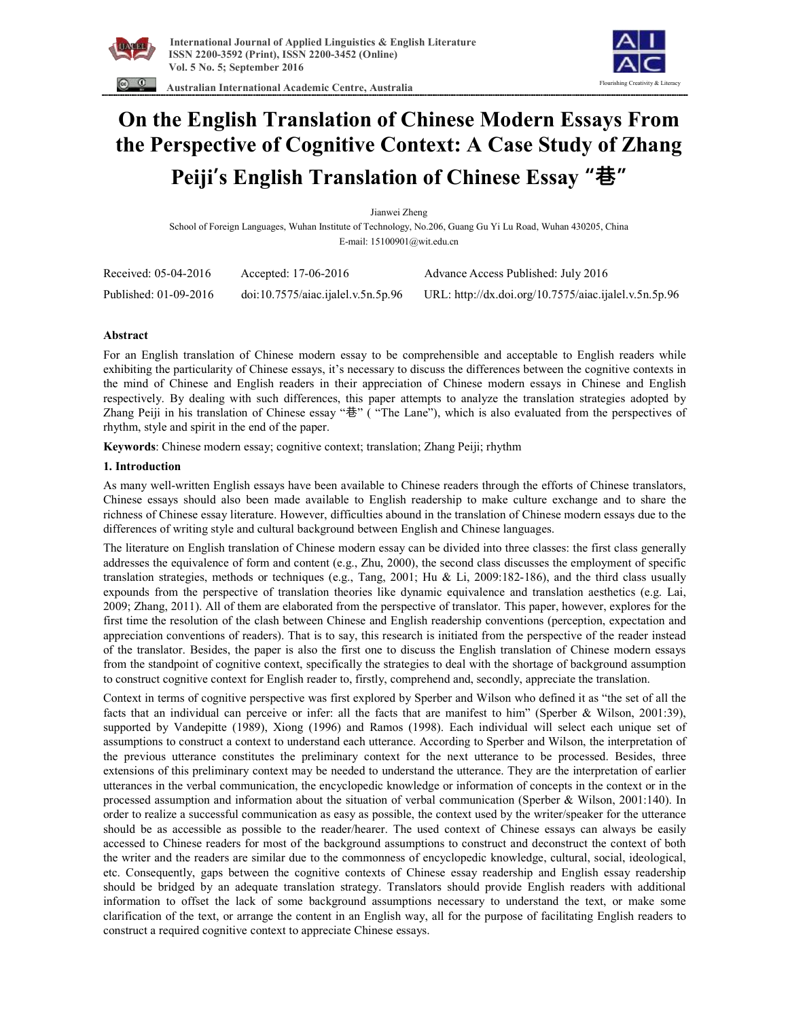

 **Australian International Academic Centre, Australia** 



# **On the English Translation of Chinese Modern Essays From the Perspective of Cognitive Context: A Case Study of Zhang Peiji's English Translation of Chinese Essay "巷"**

Jianwei Zheng School of Foreign Languages, Wuhan Institute of Technology, No.206, Guang Gu Yi Lu Road, Wuhan 430205, China E-mail: 15100901@wit.edu.cn

| Received: 05-04-2016  | Accepted: 17-06-2016               | Advance Access Published: July 2016                   |
|-----------------------|------------------------------------|-------------------------------------------------------|
| Published: 01-09-2016 | doi:10.7575/aiac.ijalel.v.5n.5p.96 | URL: http://dx.doi.org/10.7575/aiac.ijalel.v.5n.5p.96 |

### **Abstract**

For an English translation of Chinese modern essay to be comprehensible and acceptable to English readers while exhibiting the particularity of Chinese essays, it's necessary to discuss the differences between the cognitive contexts in the mind of Chinese and English readers in their appreciation of Chinese modern essays in Chinese and English respectively. By dealing with such differences, this paper attempts to analyze the translation strategies adopted by Zhang Peiji in his translation of Chinese essay "巷" ( "The Lane"), which is also evaluated from the perspectives of rhythm, style and spirit in the end of the paper.

**Keywords**: Chinese modern essay; cognitive context; translation; Zhang Peiji; rhythm

#### **1. Introduction**

As many well-written English essays have been available to Chinese readers through the efforts of Chinese translators, Chinese essays should also been made available to English readership to make culture exchange and to share the richness of Chinese essay literature. However, difficulties abound in the translation of Chinese modern essays due to the differences of writing style and cultural background between English and Chinese languages.

The literature on English translation of Chinese modern essay can be divided into three classes: the first class generally addresses the equivalence of form and content (e.g., Zhu, 2000), the second class discusses the employment of specific translation strategies, methods or techniques (e.g., Tang, 2001; Hu & Li, 2009:182-186), and the third class usually expounds from the perspective of translation theories like dynamic equivalence and translation aesthetics (e.g. Lai, 2009; Zhang, 2011). All of them are elaborated from the perspective of translator. This paper, however, explores for the first time the resolution of the clash between Chinese and English readership conventions (perception, expectation and appreciation conventions of readers). That is to say, this research is initiated from the perspective of the reader instead of the translator. Besides, the paper is also the first one to discuss the English translation of Chinese modern essays from the standpoint of cognitive context, specifically the strategies to deal with the shortage of background assumption to construct cognitive context for English reader to, firstly, comprehend and, secondly, appreciate the translation.

Context in terms of cognitive perspective was first explored by Sperber and Wilson who defined it as "the set of all the facts that an individual can perceive or infer: all the facts that are manifest to him" (Sperber & Wilson, 2001:39), supported by Vandepitte (1989), Xiong (1996) and Ramos (1998). Each individual will select each unique set of assumptions to construct a context to understand each utterance. According to Sperber and Wilson, the interpretation of the previous utterance constitutes the preliminary context for the next utterance to be processed. Besides, three extensions of this preliminary context may be needed to understand the utterance. They are the interpretation of earlier utterances in the verbal communication, the encyclopedic knowledge or information of concepts in the context or in the processed assumption and information about the situation of verbal communication (Sperber & Wilson, 2001:140). In order to realize a successful communication as easy as possible, the context used by the writer/speaker for the utterance should be as accessible as possible to the reader/hearer. The used context of Chinese essays can always be easily accessed to Chinese readers for most of the background assumptions to construct and deconstruct the context of both the writer and the readers are similar due to the commonness of encyclopedic knowledge, cultural, social, ideological, etc. Consequently, gaps between the cognitive contexts of Chinese essay readership and English essay readership should be bridged by an adequate translation strategy. Translators should provide English readers with additional information to offset the lack of some background assumptions necessary to understand the text, or make some clarification of the text, or arrange the content in an English way, all for the purpose of facilitating English readers to construct a required cognitive context to appreciate Chinese essays.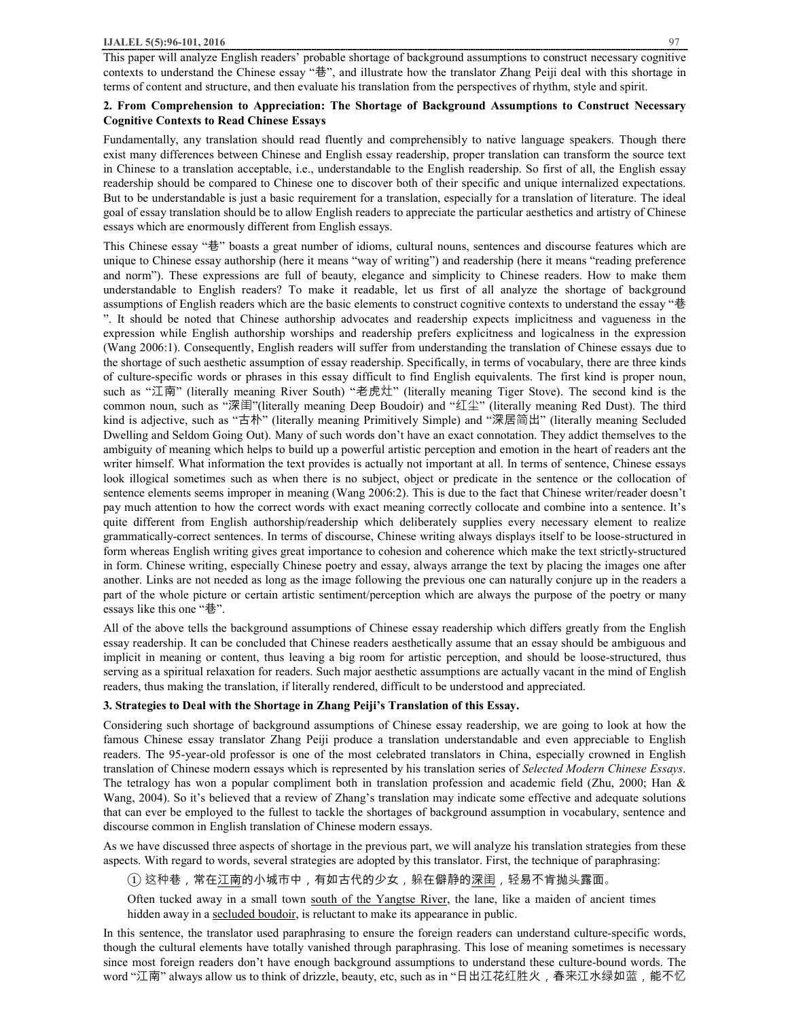This paper will analyze English readers' probable shortage of background assumptions to construct necessary cognitive contexts to understand the Chinese essay "巷", and illustrate how the translator Zhang Peiji deal with this shortage in terms of content and structure, and then evaluate his translation from the perspectives of rhythm, style and spirit.

## **2. From Comprehension to Appreciation: The Shortage of Background Assumptions to Construct Necessary Cognitive Contexts to Read Chinese Essays**

Fundamentally, any translation should read fluently and comprehensibly to native language speakers. Though there exist many differences between Chinese and English essay readership, proper translation can transform the source text in Chinese to a translation acceptable, i.e., understandable to the English readership. So first of all, the English essay readership should be compared to Chinese one to discover both of their specific and unique internalized expectations. But to be understandable is just a basic requirement for a translation, especially for a translation of literature. The ideal goal of essay translation should be to allow English readers to appreciate the particular aesthetics and artistry of Chinese essays which are enormously different from English essays.

This Chinese essay "巷" boasts a great number of idioms, cultural nouns, sentences and discourse features which are unique to Chinese essay authorship (here it means "way of writing") and readership (here it means "reading preference and norm"). These expressions are full of beauty, elegance and simplicity to Chinese readers. How to make them understandable to English readers? To make it readable, let us first of all analyze the shortage of background assumptions of English readers which are the basic elements to construct cognitive contexts to understand the essay "巷 ". It should be noted that Chinese authorship advocates and readership expects implicitness and vagueness in the expression while English authorship worships and readership prefers explicitness and logicalness in the expression (Wang 2006:1). Consequently, English readers will suffer from understanding the translation of Chinese essays due to the shortage of such aesthetic assumption of essay readership. Specifically, in terms of vocabulary, there are three kinds of culture-specific words or phrases in this essay difficult to find English equivalents. The first kind is proper noun, such as "江南" (literally meaning River South) "老虎灶" (literally meaning Tiger Stove). The second kind is the common noun, such as "深闺"(literally meaning Deep Boudoir) and "红尘" (literally meaning Red Dust). The third kind is adjective, such as "古朴" (literally meaning Primitively Simple) and "深居简出" (literally meaning Secluded Dwelling and Seldom Going Out). Many of such words don't have an exact connotation. They addict themselves to the ambiguity of meaning which helps to build up a powerful artistic perception and emotion in the heart of readers ant the writer himself. What information the text provides is actually not important at all. In terms of sentence, Chinese essays look illogical sometimes such as when there is no subject, object or predicate in the sentence or the collocation of sentence elements seems improper in meaning (Wang 2006:2). This is due to the fact that Chinese writer/reader doesn't pay much attention to how the correct words with exact meaning correctly collocate and combine into a sentence. It's quite different from English authorship/readership which deliberately supplies every necessary element to realize grammatically-correct sentences. In terms of discourse, Chinese writing always displays itself to be loose-structured in form whereas English writing gives great importance to cohesion and coherence which make the text strictly-structured in form. Chinese writing, especially Chinese poetry and essay, always arrange the text by placing the images one after another. Links are not needed as long as the image following the previous one can naturally conjure up in the readers a part of the whole picture or certain artistic sentiment/perception which are always the purpose of the poetry or many essays like this one "巷".

All of the above tells the background assumptions of Chinese essay readership which differs greatly from the English essay readership. It can be concluded that Chinese readers aesthetically assume that an essay should be ambiguous and implicit in meaning or content, thus leaving a big room for artistic perception, and should be loose-structured, thus serving as a spiritual relaxation for readers. Such major aesthetic assumptions are actually vacant in the mind of English readers, thus making the translation, if literally rendered, difficult to be understood and appreciated.

### **3. Strategies to Deal with the Shortage in Zhang Peiji's Translation of this Essay.**

Considering such shortage of background assumptions of Chinese essay readership, we are going to look at how the famous Chinese essay translator Zhang Peiji produce a translation understandable and even appreciable to English readers. The 95-year-old professor is one of the most celebrated translators in China, especially crowned in English translation of Chinese modern essays which is represented by his translation series of *Selected Modern Chinese Essays*. The tetralogy has won a popular compliment both in translation profession and academic field (Zhu, 2000; Han & Wang, 2004). So it's believed that a review of Zhang's translation may indicate some effective and adequate solutions that can ever be employed to the fullest to tackle the shortages of background assumption in vocabulary, sentence and discourse common in English translation of Chinese modern essays.

As we have discussed three aspects of shortage in the previous part, we will analyze his translation strategies from these aspects. With regard to words, several strategies are adopted by this translator. First, the technique of paraphrasing:

 $(\widehat{\mathbb{1}})$  这种巷,常在江南的小城市中,有如古代的少女,躲在僻静的深闺,轻易不肯抛头露面。

Often tucked away in a small town south of the Yangtse River, the lane, like a maiden of ancient times hidden away in a secluded boudoir, is reluctant to make its appearance in public.

In this sentence, the translator used paraphrasing to ensure the foreign readers can understand culture-specific words, though the cultural elements have totally vanished through paraphrasing. This lose of meaning sometimes is necessary since most foreign readers don't have enough background assumptions to understand these culture-bound words. The word "江南" always allow us to think of drizzle, beauty, etc, such as in "日出江花红胜火,春来江水绿如蓝,能不忆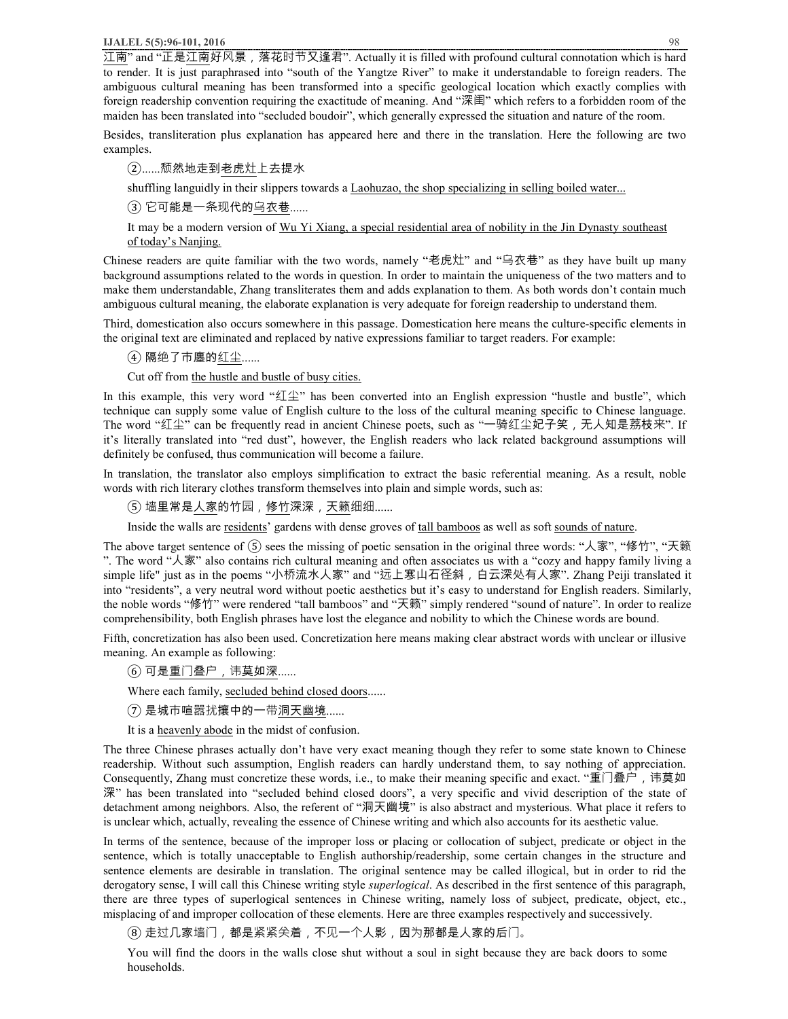江南" and "正是江南好⻛景,落花时节又逢君". Actually it is filled with profound cultural connotation which is hard to render. It is just paraphrased into "south of the Yangtze River" to make it understandable to foreign readers. The ambiguous cultural meaning has been transformed into a specific geological location which exactly complies with foreign readership convention requiring the exactitude of meaning. And "深闺" which refers to a forbidden room of the maiden has been translated into "secluded boudoir", which generally expressed the situation and nature of the room.

Besides, transliteration plus explanation has appeared here and there in the translation. Here the following are two examples.

②......颓然地走到老虎灶上去提水

shuffling languidly in their slippers towards a *Laohuzao*, the shop specializing in selling boiled water...

③ 它可能是一条现代的乌衣巷......

It may be a modern version of Wu Yi Xiang, a special residential area of nobility in the Jin Dynasty southeast of today's Nanjing.

Chinese readers are quite familiar with the two words, namely "老虎灶" and "乌衣巷" as they have built up many background assumptions related to the words in question. In order to maintain the uniqueness of the two matters and to make them understandable, Zhang transliterates them and adds explanation to them. As both words don't contain much ambiguous cultural meaning, the elaborate explanation is very adequate for foreign readership to understand them.

Third, domestication also occurs somewhere in this passage. Domestication here means the culture-specific elements in the original text are eliminated and replaced by native expressions familiar to target readers. For example:

④ 隔绝了市廛的红尘......

Cut off from the hustle and bustle of busy cities.

In this example, this very word "红尘" has been converted into an English expression "hustle and bustle", which technique can supply some value of English culture to the loss of the cultural meaning specific to Chinese language. The word "红尘" can be frequently read in ancient Chinese poets, such as "一骑红尘妃子笑, 无人知是荔枝来". If it's literally translated into "red dust", however, the English readers who lack related background assumptions will definitely be confused, thus communication will become a failure.

In translation, the translator also employs simplification to extract the basic referential meaning. As a result, noble words with rich literary clothes transform themselves into plain and simple words, such as:

⑤ 墙里常是人家的竹园,修竹深深,天籁细细......

Inside the walls are residents' gardens with dense groves of tall bamboos as well as soft sounds of nature.

The above target sentence of  $(5)$  sees the missing of poetic sensation in the original three words: "人家", "修竹", "天籁 ". The word "人家" also contains rich cultural meaning and often associates us with a "cozy and happy family living a simple life" just as in the poems "小桥流水人家" and "远上寒山石径斜, 白云深处有人家". Zhang Peiji translated it into "residents", a very neutral word without poetic aesthetics but it's easy to understand for English readers. Similarly, the noble words "修竹" were rendered "tall bamboos" and "天籁" simply rendered "sound of nature". In order to realize comprehensibility, both English phrases have lost the elegance and nobility to which the Chinese words are bound.

Fifth, concretization has also been used. Concretization here means making clear abstract words with unclear or illusive meaning. An example as following:

⑥ 可是重⻔叠户,讳莫如深......

Where each family, secluded behind closed doors......

⑦ 是城市喧嚣扰攘中的一带洞天幽境......

It is a heavenly abode in the midst of confusion.

The three Chinese phrases actually don't have very exact meaning though they refer to some state known to Chinese readership. Without such assumption, English readers can hardly understand them, to say nothing of appreciation. Consequently, Zhang must concretize these words, i.e., to make their meaning specific and exact. "重门叠户,讳莫如 深" has been translated into "secluded behind closed doors", a very specific and vivid description of the state of detachment among neighbors. Also, the referent of "洞天幽境" is also abstract and mysterious. What place it refers to is unclear which, actually, revealing the essence of Chinese writing and which also accounts for its aesthetic value.

In terms of the sentence, because of the improper loss or placing or collocation of subject, predicate or object in the sentence, which is totally unacceptable to English authorship/readership, some certain changes in the structure and sentence elements are desirable in translation. The original sentence may be called illogical, but in order to rid the derogatory sense, I will call this Chinese writing style *superlogical*. As described in the first sentence of this paragraph, there are three types of superlogical sentences in Chinese writing, namely loss of subject, predicate, object, etc., misplacing of and improper collocation of these elements. Here are three examples respectively and successively.

⑧ 走过几家墙门,都是紧紧关着,不见一个人影,因为那都是人家的后门。

You will find the doors in the walls close shut without a soul in sight because they are back doors to some households.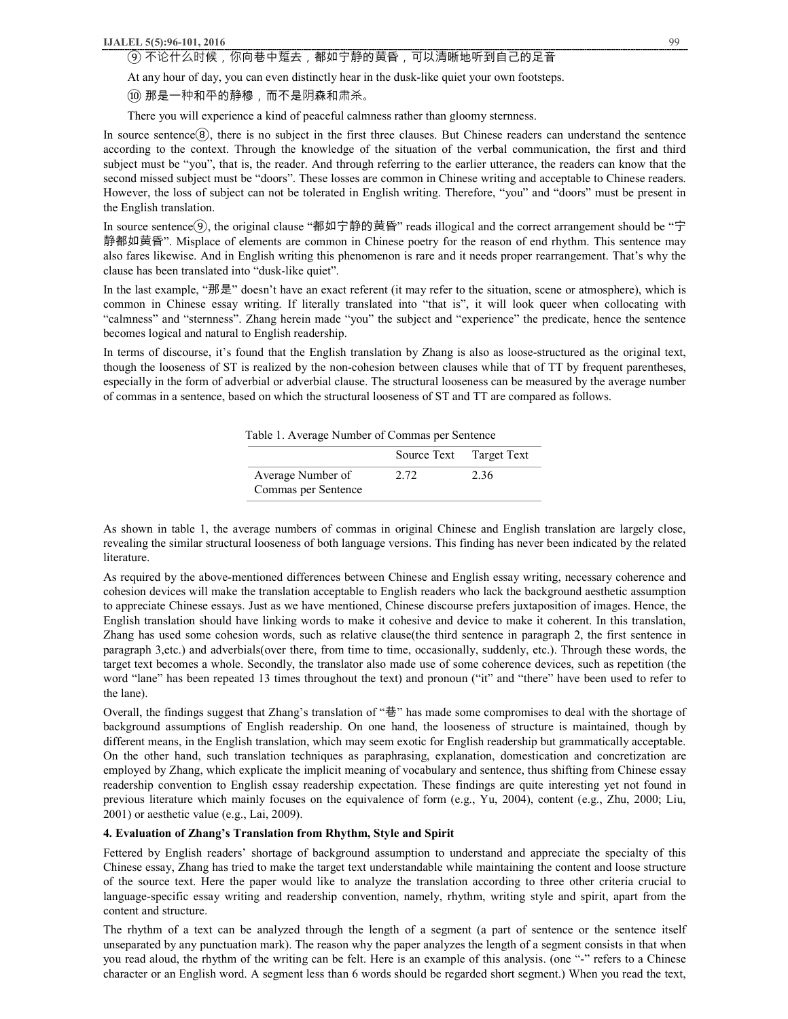### **IJALEL 5(5):96-101, 2016** 99

# ⑨ 不论什么时候,你向巷中踅去,都如宁静的黄昏,可以清晰地听到自己的足音

At any hour of day, you can even distinctly hear in the dusk-like quiet your own footsteps.

⑩ 那是一种和平的静穆,而不是阴森和肃杀。

There you will experience a kind of peaceful calmness rather than gloomy sternness.

In source sentence(8), there is no subject in the first three clauses. But Chinese readers can understand the sentence according to the context. Through the knowledge of the situation of the verbal communication, the first and third subject must be "you", that is, the reader. And through referring to the earlier utterance, the readers can know that the second missed subject must be "doors". These losses are common in Chinese writing and acceptable to Chinese readers. However, the loss of subject can not be tolerated in English writing. Therefore, "you" and "doors" must be present in the English translation.

In source sentence⑨, the original clause "都如宁静的黄昏" reads illogical and the correct arrangement should be "宁 静都如黄昏". Misplace of elements are common in Chinese poetry for the reason of end rhythm. This sentence may also fares likewise. And in English writing this phenomenon is rare and it needs proper rearrangement. That's why the clause has been translated into "dusk-like quiet".

In the last example, "那是" doesn't have an exact referent (it may refer to the situation, scene or atmosphere), which is common in Chinese essay writing. If literally translated into "that is", it will look queer when collocating with "calmness" and "sternness". Zhang herein made "you" the subject and "experience" the predicate, hence the sentence becomes logical and natural to English readership.

In terms of discourse, it's found that the English translation by Zhang is also as loose-structured as the original text, though the looseness of ST is realized by the non-cohesion between clauses while that of TT by frequent parentheses, especially in the form of adverbial or adverbial clause. The structural looseness can be measured by the average number of commas in a sentence, based on which the structural looseness of ST and TT are compared as follows.

Table 1. Average Number of Commas per Sentence

|                                          | Source Text | Target Text |
|------------------------------------------|-------------|-------------|
| Average Number of<br>Commas per Sentence | 2.72        | 2.36        |

As shown in table 1, the average numbers of commas in original Chinese and English translation are largely close, revealing the similar structural looseness of both language versions. This finding has never been indicated by the related literature.

As required by the above-mentioned differences between Chinese and English essay writing, necessary coherence and cohesion devices will make the translation acceptable to English readers who lack the background aesthetic assumption to appreciate Chinese essays. Just as we have mentioned, Chinese discourse prefers juxtaposition of images. Hence, the English translation should have linking words to make it cohesive and device to make it coherent. In this translation, Zhang has used some cohesion words, such as relative clause(the third sentence in paragraph 2, the first sentence in paragraph 3,etc.) and adverbials(over there, from time to time, occasionally, suddenly, etc.). Through these words, the target text becomes a whole. Secondly, the translator also made use of some coherence devices, such as repetition (the word "lane" has been repeated 13 times throughout the text) and pronoun ("it" and "there" have been used to refer to the lane).

Overall, the findings suggest that Zhang's translation of "巷" has made some compromises to deal with the shortage of background assumptions of English readership. On one hand, the looseness of structure is maintained, though by different means, in the English translation, which may seem exotic for English readership but grammatically acceptable. On the other hand, such translation techniques as paraphrasing, explanation, domestication and concretization are employed by Zhang, which explicate the implicit meaning of vocabulary and sentence, thus shifting from Chinese essay readership convention to English essay readership expectation. These findings are quite interesting yet not found in previous literature which mainly focuses on the equivalence of form (e.g., Yu, 2004), content (e.g., Zhu, 2000; Liu, 2001) or aesthetic value (e.g., Lai, 2009).

### **4. Evaluation of Zhang's Translation from Rhythm, Style and Spirit**

Fettered by English readers' shortage of background assumption to understand and appreciate the specialty of this Chinese essay, Zhang has tried to make the target text understandable while maintaining the content and loose structure of the source text. Here the paper would like to analyze the translation according to three other criteria crucial to language-specific essay writing and readership convention, namely, rhythm, writing style and spirit, apart from the content and structure.

The rhythm of a text can be analyzed through the length of a segment (a part of sentence or the sentence itself unseparated by any punctuation mark). The reason why the paper analyzes the length of a segment consists in that when you read aloud, the rhythm of the writing can be felt. Here is an example of this analysis. (one "-" refers to a Chinese character or an English word. A segment less than 6 words should be regarded short segment.) When you read the text,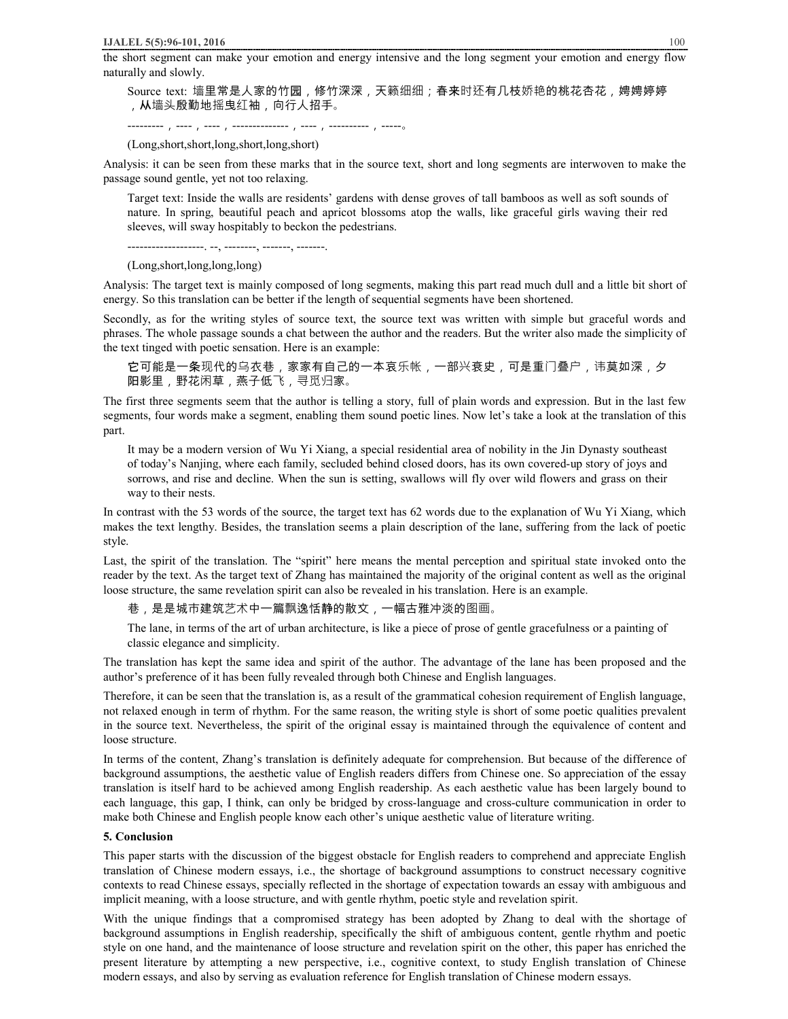the short segment can make your emotion and energy intensive and the long segment your emotion and energy flow naturally and slowly.

Source text: 墙里常是人家的竹园,修竹深深,天籁细细;春来时还有几枝娇艳的桃花杏花,娉娉婷婷 ,从墙头殷勤地摇曳红袖,向行人招手。

---------,----,----,--------------,----,----------,-----。

(Long,short,short,long,short,long,short)

Analysis: it can be seen from these marks that in the source text, short and long segments are interwoven to make the passage sound gentle, yet not too relaxing.

Target text: Inside the walls are residents' gardens with dense groves of tall bamboos as well as soft sounds of nature. In spring, beautiful peach and apricot blossoms atop the walls, like graceful girls waving their red sleeves, will sway hospitably to beckon the pedestrians.

-------------------. --, --------, -------, -------.

(Long,short,long,long,long)

Analysis: The target text is mainly composed of long segments, making this part read much dull and a little bit short of energy. So this translation can be better if the length of sequential segments have been shortened.

Secondly, as for the writing styles of source text, the source text was written with simple but graceful words and phrases. The whole passage sounds a chat between the author and the readers. But the writer also made the simplicity of the text tinged with poetic sensation. Here is an example:

它可能是一条现代的乌衣巷,家家有自己的一本哀乐帐,一部兴衰史,可是重⻔叠户,讳莫如深,夕 阳影里,野花闲草,燕子低⻜,寻觅归家。

The first three segments seem that the author is telling a story, full of plain words and expression. But in the last few segments, four words make a segment, enabling them sound poetic lines. Now let's take a look at the translation of this part.

It may be a modern version of Wu Yi Xiang, a special residential area of nobility in the Jin Dynasty southeast of today's Nanjing, where each family, secluded behind closed doors, has its own covered-up story of joys and sorrows, and rise and decline. When the sun is setting, swallows will fly over wild flowers and grass on their way to their nests.

In contrast with the 53 words of the source, the target text has 62 words due to the explanation of Wu Yi Xiang, which makes the text lengthy. Besides, the translation seems a plain description of the lane, suffering from the lack of poetic style.

Last, the spirit of the translation. The "spirit" here means the mental perception and spiritual state invoked onto the reader by the text. As the target text of Zhang has maintained the majority of the original content as well as the original loose structure, the same revelation spirit can also be revealed in his translation. Here is an example.

巷,是是城市建筑艺术中一篇飘逸恬静的散文,一幅古雅冲淡的图画。

The lane, in terms of the art of urban architecture, is like a piece of prose of gentle gracefulness or a painting of classic elegance and simplicity.

The translation has kept the same idea and spirit of the author. The advantage of the lane has been proposed and the author's preference of it has been fully revealed through both Chinese and English languages.

Therefore, it can be seen that the translation is, as a result of the grammatical cohesion requirement of English language, not relaxed enough in term of rhythm. For the same reason, the writing style is short of some poetic qualities prevalent in the source text. Nevertheless, the spirit of the original essay is maintained through the equivalence of content and loose structure.

In terms of the content, Zhang's translation is definitely adequate for comprehension. But because of the difference of background assumptions, the aesthetic value of English readers differs from Chinese one. So appreciation of the essay translation is itself hard to be achieved among English readership. As each aesthetic value has been largely bound to each language, this gap, I think, can only be bridged by cross-language and cross-culture communication in order to make both Chinese and English people know each other's unique aesthetic value of literature writing.

#### **5. Conclusion**

This paper starts with the discussion of the biggest obstacle for English readers to comprehend and appreciate English translation of Chinese modern essays, i.e., the shortage of background assumptions to construct necessary cognitive contexts to read Chinese essays, specially reflected in the shortage of expectation towards an essay with ambiguous and implicit meaning, with a loose structure, and with gentle rhythm, poetic style and revelation spirit.

With the unique findings that a compromised strategy has been adopted by Zhang to deal with the shortage of background assumptions in English readership, specifically the shift of ambiguous content, gentle rhythm and poetic style on one hand, and the maintenance of loose structure and revelation spirit on the other, this paper has enriched the present literature by attempting a new perspective, i.e., cognitive context, to study English translation of Chinese modern essays, and also by serving as evaluation reference for English translation of Chinese modern essays.